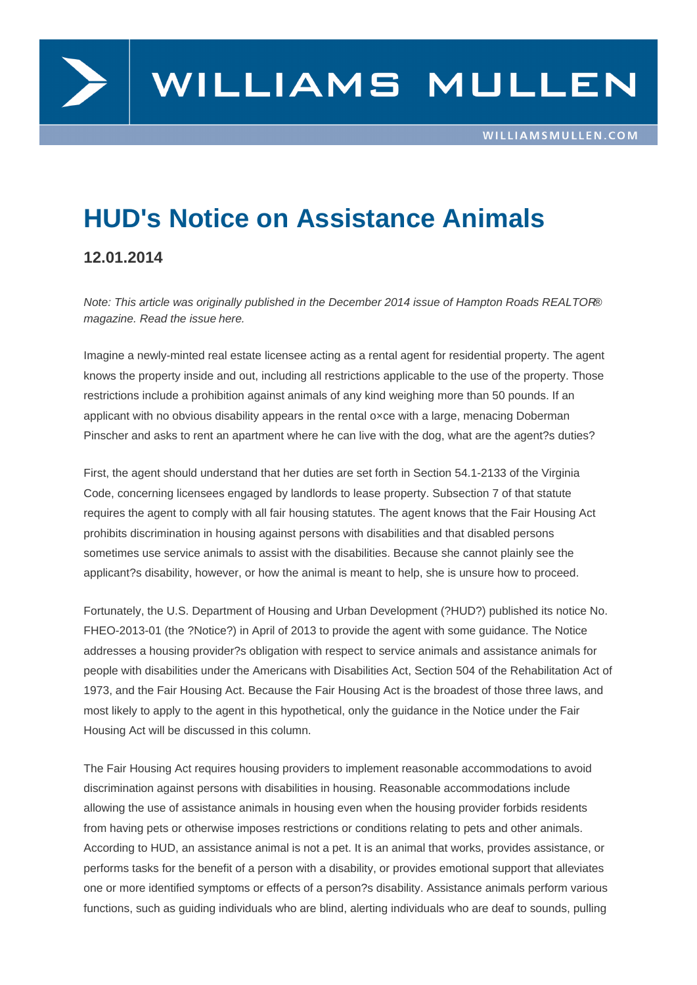## HUD's Notice on Assistance Animals

## 12.01.2014

Note: This article was originally published in the December 2014 issue of Hampton Roads REALTOR® magazine. Read the issue here.

Imagine a newly-minted real estate licensee acting as a rental agent for residential property. The agent knows the property inside [and o](http://www.hrra.com/_docs/realtor/magazine/2014/dec2014.pdf)ut, including all restrictions applicable to the use of the property. Those restrictions include a prohibition against animals of any kind weighing more than 50 pounds. If an applicant with no obvious disability appears in the rental o×ce with a large, menacing Doberman Pinscher and asks to rent an apartment where he can live with the dog, what are the agent?s duties?

First, the agent should understand that her duties are set forth in Section 54.1-2133 of the Virginia Code, concerning licensees engaged by landlords to lease property. Subsection 7 of that statute requires the agent to comply with all fair housing statutes. The agent knows that the Fair Housing Act prohibits discrimination in housing against persons with disabilities and that disabled persons sometimes use service animals to assist with the disabilities. Because she cannot plainly see the applicant?s disability, however, or how the animal is meant to help, she is unsure how to proceed.

Fortunately, the U.S. Department of Housing and Urban Development (?HUD?) published its notice No. FHEO-2013-01 (the ?Notice?) in April of 2013 to provide the agent with some guidance. The Notice addresses a housing provider?s obligation with respect to service animals and assistance animals for people with disabilities under the Americans with Disabilities Act, Section 504 of the Rehabilitation Act of 1973, and the Fair Housing Act. Because the Fair Housing Act is the broadest of those three laws, and most likely to apply to the agent in this hypothetical, only the guidance in the Notice under the Fair Housing Act will be discussed in this column.

The Fair Housing Act requires housing providers to implement reasonable accommodations to avoid discrimination against persons with disabilities in housing. Reasonable accommodations include allowing the use of assistance animals in housing even when the housing provider forbids residents from having pets or otherwise imposes restrictions or conditions relating to pets and other animals. According to HUD, an assistance animal is not a pet. It is an animal that works, provides assistance, or performs tasks for the benefit of a person with a disability, or provides emotional support that alleviates one or more identified symptoms or effects of a person?s disability. Assistance animals perform various functions, such as guiding individuals who are blind, alerting individuals who are deaf to sounds, pulling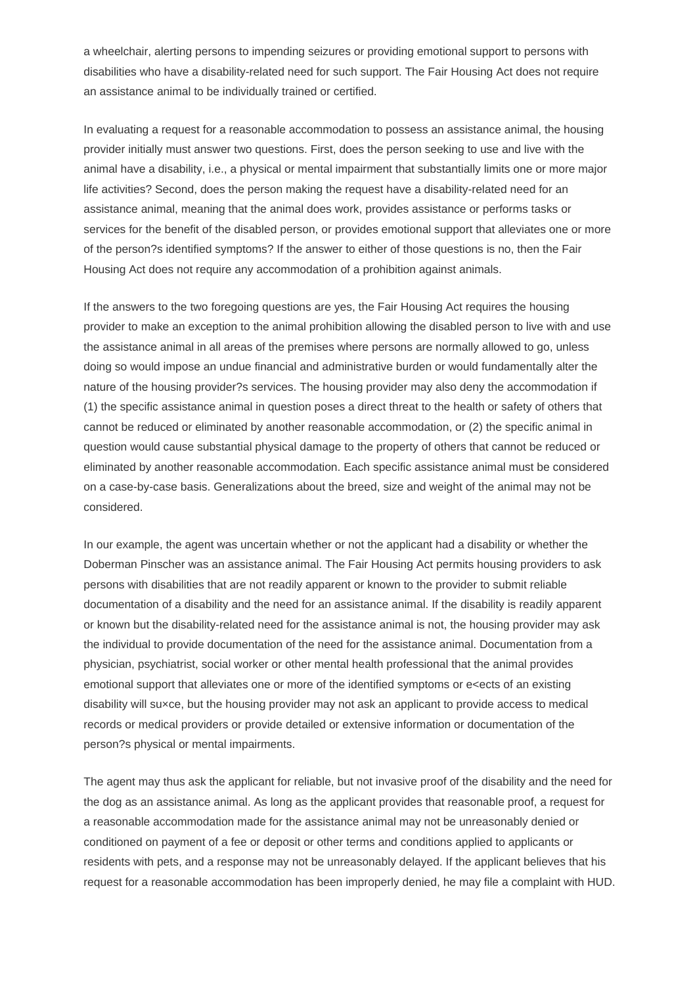a wheelchair, alerting persons to impending seizures or providing emotional support to persons with disabilities who have a disability-related need for such support. The Fair Housing Act does not require an assistance animal to be individually trained or certified.

In evaluating a request for a reasonable accommodation to possess an assistance animal, the housing provider initially must answer two questions. First, does the person seeking to use and live with the animal have a disability, i.e., a physical or mental impairment that substantially limits one or more major life activities? Second, does the person making the request have a disability-related need for an assistance animal, meaning that the animal does work, provides assistance or performs tasks or services for the benefit of the disabled person, or provides emotional support that alleviates one or more of the person?s identified symptoms? If the answer to either of those questions is no, then the Fair Housing Act does not require any accommodation of a prohibition against animals.

If the answers to the two foregoing questions are yes, the Fair Housing Act requires the housing provider to make an exception to the animal prohibition allowing the disabled person to live with and use the assistance animal in all areas of the premises where persons are normally allowed to go, unless doing so would impose an undue financial and administrative burden or would fundamentally alter the nature of the housing provider?s services. The housing provider may also deny the accommodation if (1) the specific assistance animal in question poses a direct threat to the health or safety of others that cannot be reduced or eliminated by another reasonable accommodation, or (2) the specific animal in question would cause substantial physical damage to the property of others that cannot be reduced or eliminated by another reasonable accommodation. Each specific assistance animal must be considered on a case-by-case basis. Generalizations about the breed, size and weight of the animal may not be considered.

In our example, the agent was uncertain whether or not the applicant had a disability or whether the Doberman Pinscher was an assistance animal. The Fair Housing Act permits housing providers to ask persons with disabilities that are not readily apparent or known to the provider to submit reliable documentation of a disability and the need for an assistance animal. If the disability is readily apparent or known but the disability-related need for the assistance animal is not, the housing provider may ask the individual to provide documentation of the need for the assistance animal. Documentation from a physician, psychiatrist, social worker or other mental health professional that the animal provides emotional support that alleviates one or more of the identified symptoms or e<ects of an existing disability will su×ce, but the housing provider may not ask an applicant to provide access to medical records or medical providers or provide detailed or extensive information or documentation of the person?s physical or mental impairments.

The agent may thus ask the applicant for reliable, but not invasive proof of the disability and the need for the dog as an assistance animal. As long as the applicant provides that reasonable proof, a request for a reasonable accommodation made for the assistance animal may not be unreasonably denied or conditioned on payment of a fee or deposit or other terms and conditions applied to applicants or residents with pets, and a response may not be unreasonably delayed. If the applicant believes that his request for a reasonable accommodation has been improperly denied, he may file a complaint with HUD.